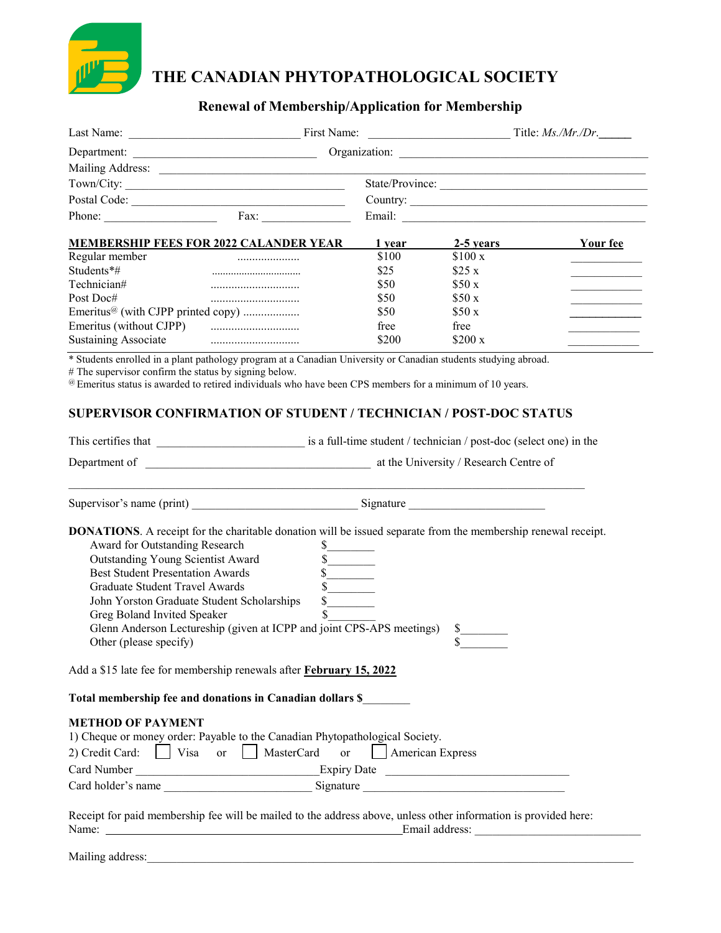

# **THE CANADIAN PHYTOPATHOLOGICAL SOCIETY**

# **Renewal of Membership/Application for Membership**

|                                                                                                                                                                                                                                                                |                                                                                                                                                                                                                                                                                                                | State/Province:         |           |                 |  |
|----------------------------------------------------------------------------------------------------------------------------------------------------------------------------------------------------------------------------------------------------------------|----------------------------------------------------------------------------------------------------------------------------------------------------------------------------------------------------------------------------------------------------------------------------------------------------------------|-------------------------|-----------|-----------------|--|
|                                                                                                                                                                                                                                                                |                                                                                                                                                                                                                                                                                                                | Country:                |           |                 |  |
|                                                                                                                                                                                                                                                                | Phone: Fax:                                                                                                                                                                                                                                                                                                    |                         |           |                 |  |
|                                                                                                                                                                                                                                                                |                                                                                                                                                                                                                                                                                                                |                         |           |                 |  |
|                                                                                                                                                                                                                                                                | <b>MEMBERSHIP FEES FOR 2022 CALANDER YEAR</b>                                                                                                                                                                                                                                                                  | $1$ year                | 2-5 years | <b>Your fee</b> |  |
| Regular member and the communications of the communication of the communication of the communication of the communication of the communication of the communication of the communication of the communication of the communica                                 |                                                                                                                                                                                                                                                                                                                | \$100                   | \$100x    |                 |  |
| Students*#                                                                                                                                                                                                                                                     |                                                                                                                                                                                                                                                                                                                | \$25                    | \$25x     |                 |  |
| Technician#                                                                                                                                                                                                                                                    |                                                                                                                                                                                                                                                                                                                | \$50                    | \$50x     |                 |  |
| Post Doc#                                                                                                                                                                                                                                                      |                                                                                                                                                                                                                                                                                                                | \$50                    | \$50x     |                 |  |
| Emeritus <sup>@</sup> (with CJPP printed copy)                                                                                                                                                                                                                 |                                                                                                                                                                                                                                                                                                                | \$50                    | \$50x     |                 |  |
|                                                                                                                                                                                                                                                                |                                                                                                                                                                                                                                                                                                                | free                    | free      |                 |  |
| <b>Sustaining Associate</b>                                                                                                                                                                                                                                    | * Students enrolled in a plant pathology program at a Canadian University or Canadian students studying abroad.                                                                                                                                                                                                | \$200                   | \$200 x   |                 |  |
|                                                                                                                                                                                                                                                                | @ Emeritus status is awarded to retired individuals who have been CPS members for a minimum of 10 years.<br><b>SUPERVISOR CONFIRMATION OF STUDENT / TECHNICIAN / POST-DOC STATUS</b>                                                                                                                           |                         |           |                 |  |
|                                                                                                                                                                                                                                                                |                                                                                                                                                                                                                                                                                                                |                         |           |                 |  |
|                                                                                                                                                                                                                                                                |                                                                                                                                                                                                                                                                                                                |                         |           |                 |  |
|                                                                                                                                                                                                                                                                |                                                                                                                                                                                                                                                                                                                |                         |           |                 |  |
| Award for Outstanding Research<br>Outstanding Young Scientist Award<br><b>Best Student Presentation Awards</b><br><b>Graduate Student Travel Awards</b><br>John Yorston Graduate Student Scholarships<br>Greg Boland Invited Speaker<br>Other (please specify) | <b>DONATIONS.</b> A receipt for the charitable donation will be issued separate from the membership renewal receipt.<br>$\mathbf S$<br>Glenn Anderson Lectureship (given at ICPP and joint CPS-APS meetings)                                                                                                   | s<br>s                  |           |                 |  |
|                                                                                                                                                                                                                                                                | Add a \$15 late fee for membership renewals after February 15, 2022                                                                                                                                                                                                                                            |                         |           |                 |  |
|                                                                                                                                                                                                                                                                | Total membership fee and donations in Canadian dollars \$                                                                                                                                                                                                                                                      |                         |           |                 |  |
| <b>METHOD OF PAYMENT</b><br>2) Credit Card:     Visa or     MasterCard                                                                                                                                                                                         | 1) Cheque or money order: Payable to the Canadian Phytopathological Society.<br>Card holder's name Signature Signature Signature Signature Signature Signature Card holder's name Signature Signature Signature Signature Signature Signature Signature Signature Signature Signature Signature Signature Sign | or     American Express |           |                 |  |
|                                                                                                                                                                                                                                                                | Receipt for paid membership fee will be mailed to the address above, unless other information is provided here:                                                                                                                                                                                                |                         |           |                 |  |
| Name:                                                                                                                                                                                                                                                          | Email address:<br><u> 1980 - Johann Barn, mars ann an t-Amhain Aonaichte ann an t-Aonaichte ann an t-Aonaichte ann an t-Aonaichte a</u>                                                                                                                                                                        |                         |           |                 |  |

Mailing address: